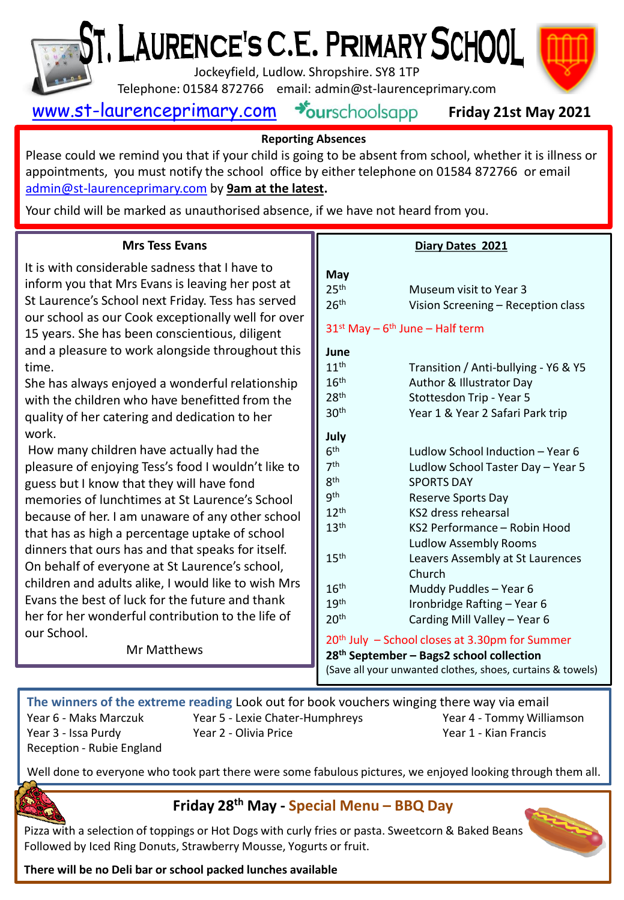

# ', LAURENCE'S C.E. PRIMARY SCHOOL

Jockeyfield, Ludlow. Shropshire. SY8 1TP

Telephone: 01584 872766 email: admin@st-laurenceprimary.com



[www.st-laurenceprimary.com](http://www.st-laurenceprimary.com/)



### **Reporting Absences**

Please could we remind you that if your child is going to be absent from school, whether it is illness or appointments, you must notify the school office by either telephone on 01584 872766 or email [admin@st-laurenceprimary.com](mailto:admin@st-laurenceprimary.com) by **9am at the latest.**

Your child will be marked as unauthorised absence, if we have not heard from you.

### **Mrs Tess Evans**

It is with considerable sadness that I have to inform you that Mrs Evans is leaving her post at St Laurence's School next Friday. Tess has served our school as our Cook exceptionally well for over 15 years. She has been conscientious, diligent and a pleasure to work alongside throughout this time.

She has always enjoyed a wonderful relationship with the children who have benefitted from the quality of her catering and dedication to her work.

How many children have actually had the pleasure of enjoying Tess's food I wouldn't like to guess but I know that they will have fond memories of lunchtimes at St Laurence's School because of her. I am unaware of any other school that has as high a percentage uptake of school dinners that ours has and that speaks for itself. On behalf of everyone at St Laurence's school, children and adults alike, I would like to wish Mrs Evans the best of luck for the future and thank her for her wonderful contribution to the life of our School.

Mr Matthews

### **Diary Dates 2021**

| May                                                        |                                      |
|------------------------------------------------------------|--------------------------------------|
| 25 <sup>th</sup>                                           | Museum visit to Year 3               |
| 26 <sup>th</sup>                                           | Vision Screening - Reception class   |
| $31^{st}$ May - $6^{th}$ June - Half term                  |                                      |
| June                                                       |                                      |
| 11 <sup>th</sup>                                           | Transition / Anti-bullying - Y6 & Y5 |
| 16 <sup>th</sup>                                           | Author & Illustrator Day             |
| 28 <sup>th</sup>                                           | Stottesdon Trip - Year 5             |
| 30 <sup>th</sup>                                           | Year 1 & Year 2 Safari Park trip     |
| July                                                       |                                      |
| 6 <sup>th</sup>                                            | Ludlow School Induction - Year 6     |
| 7 <sup>th</sup>                                            | Ludlow School Taster Day - Year 5    |
| <b>gth</b>                                                 | <b>SPORTS DAY</b>                    |
| gth                                                        | <b>Reserve Sports Day</b>            |
| 12 <sup>th</sup>                                           | KS2 dress rehearsal                  |
| 13 <sup>th</sup>                                           | KS2 Performance - Robin Hood         |
|                                                            | <b>Ludlow Assembly Rooms</b>         |
| 15 <sup>th</sup>                                           | Leavers Assembly at St Laurences     |
|                                                            | Church                               |
| 16 <sup>th</sup>                                           | Muddy Puddles - Year 6               |
| 19 <sup>th</sup>                                           | Ironbridge Rafting - Year 6          |
| 20 <sup>th</sup>                                           | Carding Mill Valley - Year 6         |
| 20 <sup>th</sup> July - School closes at 3.30pm for Summer |                                      |
| 28 <sup>th</sup> September - Bags2 school collection       |                                      |
| (Save all your unwanted clothes, shoes, curtains & towels) |                                      |

**The winners of the extreme reading** Look out for book vouchers winging there way via email Year 6 - Maks Marczuk Year 5 - Lexie Chater-Humphreys Year 4 - Tommy Williamson Year 3 - Issa Purdy Year 2 - Olivia Price New York States Year 1 - Kian Francis Reception - Rubie England

Well done to everyone who took part there were some fabulous pictures, we enjoyed looking through them all.



**Friday 28th May - Special Menu – BBQ Day**

Pizza with a selection of toppings or Hot Dogs with curly fries or pasta. Sweetcorn & Baked Beans Followed by Iced Ring Donuts, Strawberry Mousse, Yogurts or fruit.



**There will be no Deli bar or school packed lunches available**